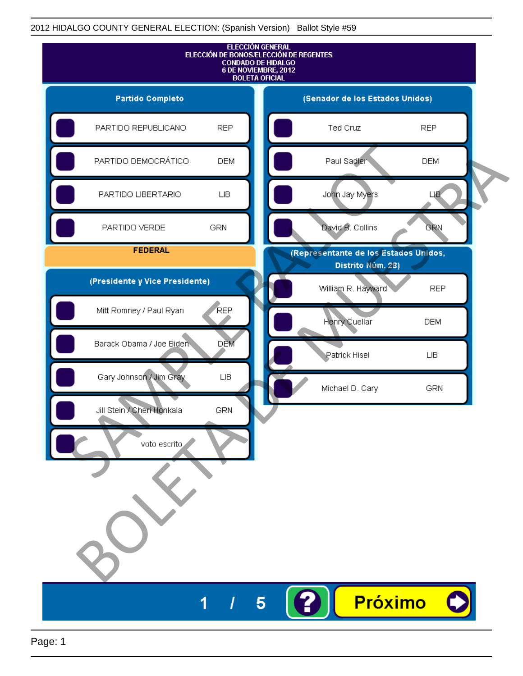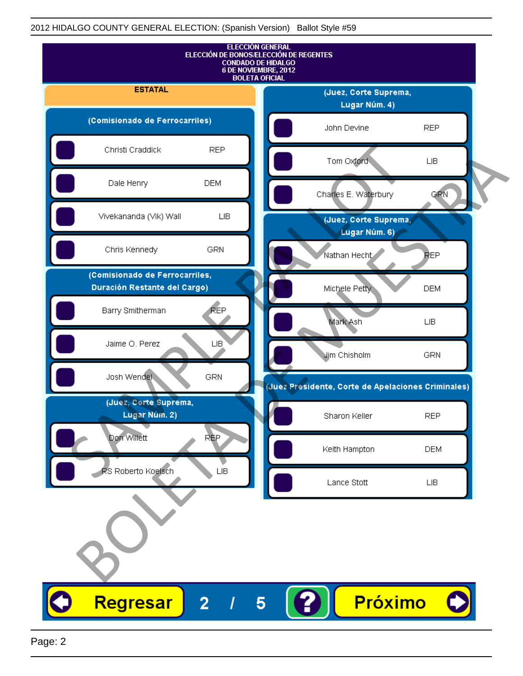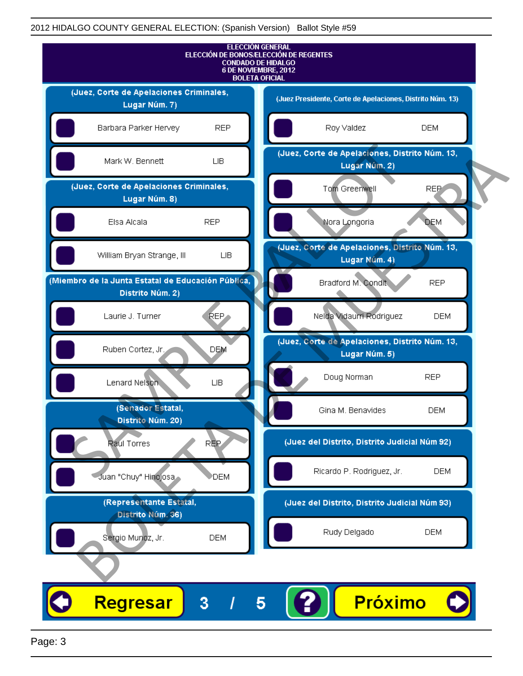

Page: 3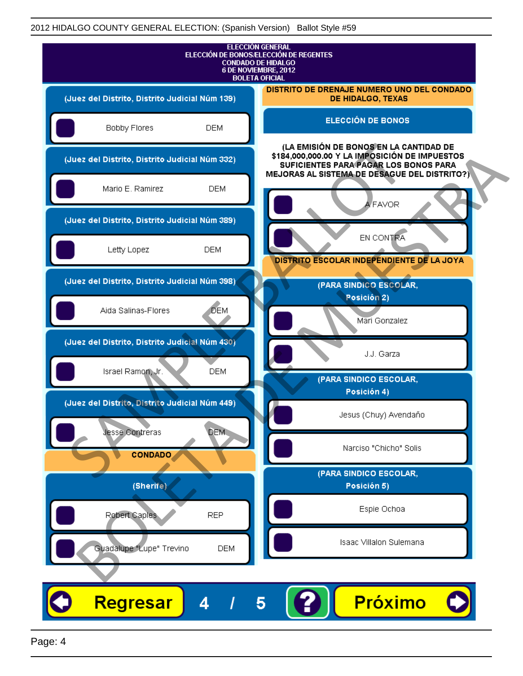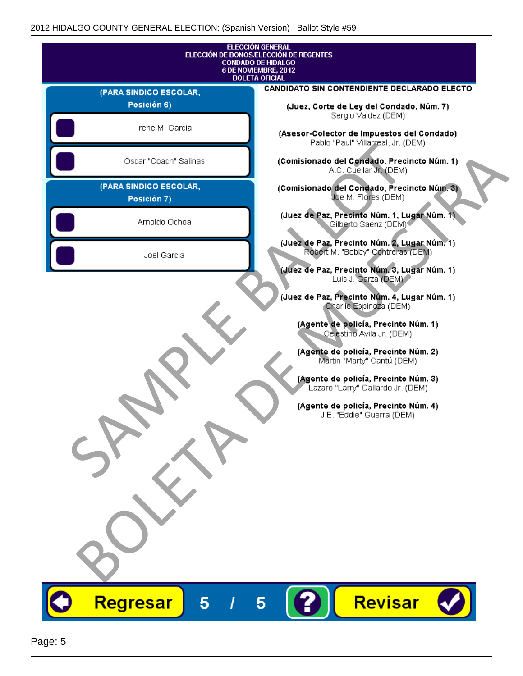|                                       | <b>ELECCIÓN GENERAL</b><br>ELECCIÓN DE BONOS/ELECCIÓN DE REGENTES<br><b>CONDADO DE HIDALGO</b>                                                                                                                                                                                                                                                                                             |
|---------------------------------------|--------------------------------------------------------------------------------------------------------------------------------------------------------------------------------------------------------------------------------------------------------------------------------------------------------------------------------------------------------------------------------------------|
|                                       | 6 DE NOVIEMBRE, 2012<br><b>BOLETA OFICIAL</b>                                                                                                                                                                                                                                                                                                                                              |
| (PARA SINDICO ESCOLAR,                | CANDIDATO SIN CONTENDIENTE DECLARADO ELECTO                                                                                                                                                                                                                                                                                                                                                |
| Posición 6)                           | (Juez, Corte de Ley del Condado, Núm. 7)                                                                                                                                                                                                                                                                                                                                                   |
| Irene M. Garcia                       | Sergio Valdez (DEM)<br>(Asesor-Colector de Impuestos del Condado)<br>Pablo "Paul" Villarreal, Jr. (DEM)                                                                                                                                                                                                                                                                                    |
| Oscar "Coach" Salinas                 | (Comisionado del Condado, Precincto Núm. 1)<br>A.C. Cuellar Jr. (DEM)                                                                                                                                                                                                                                                                                                                      |
| (PARA SINDICO ESCOLAR,<br>Posición 7) | (Comisionado del Condado, Precincto Núm. 3)<br>Joe M. Flores (DEM)                                                                                                                                                                                                                                                                                                                         |
| Arnoldo Ochoa                         | (Juez de Paz, Precinto Núm. 1, Lugar Núm. 1)<br>Gilberto Saenz (DEM) <sup>®</sup>                                                                                                                                                                                                                                                                                                          |
| Joel Garcia                           | (Juez de Paz, Precinto Núm. 2, Lugar Núm. 1)<br>Robert M. "Bobby" Contreras (DEM)<br>(Juez de Paz, Precinto Núm. 3, Lugar Núm. 1)                                                                                                                                                                                                                                                          |
|                                       | Luis J. Garza (DEM)<br>(Juez de Paz, Precinto Núm. 4, Lugar Núm. 1)<br>Charlie Espingza (DEM)<br>(Agente de policía, Precinto Núm. 1)<br>Celestino Avila Jr. (DEM)<br>(Agente de policía, Precinto Núm. 2)<br>Martin "Marty" Cantú (DEM)<br>(Agente de policía, Precinto Núm. 3)<br>Lazaro "Larry" Gallardo Jr. (DEM)<br>(Agente de policía, Precinto Núm. 4)<br>J.E. "Eddie" Guerra (DEM) |
|                                       |                                                                                                                                                                                                                                                                                                                                                                                            |
| Regresar<br>5                         | Revisar<br>5                                                                                                                                                                                                                                                                                                                                                                               |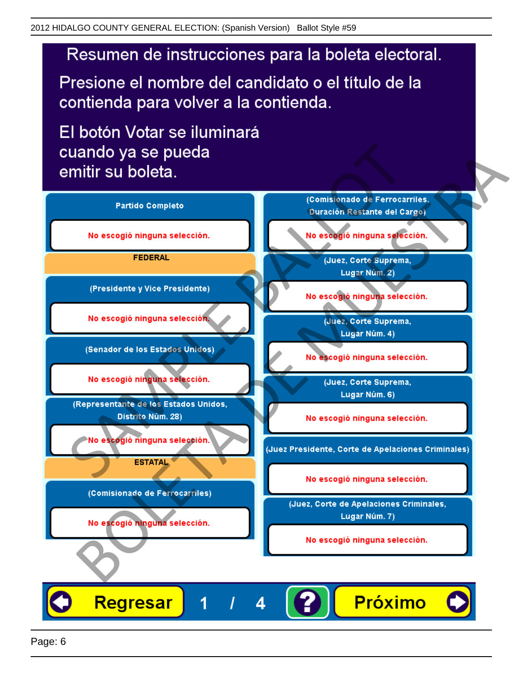Presione el nombre del candidato o el título de la contienda para volver a la contienda.

El botón Votar se iluminará

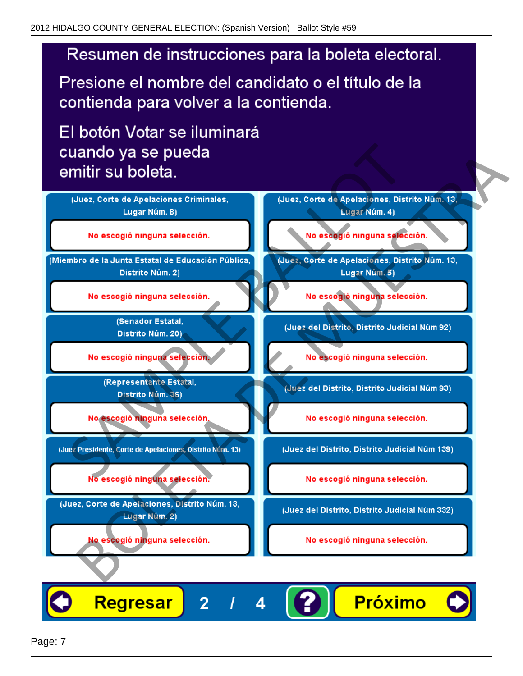Presione el nombre del candidato o el título de la contienda para volver a la contienda.

El botón Votar se iluminará



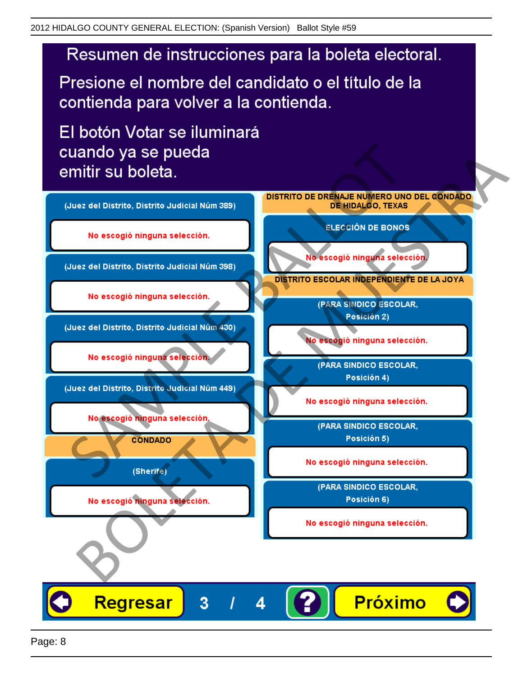Presione el nombre del candidato o el título de la contienda para volver a la contienda.

El botón Votar se iluminará